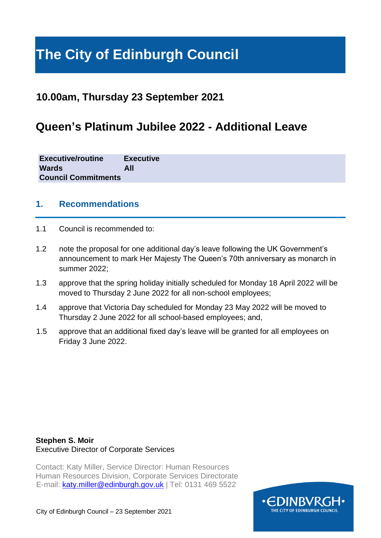# **The City of Edinburgh Council**

# **10.00am, Thursday 23 September 2021**

# **Queen's Platinum Jubilee 2022 - Additional Leave**

| <b>Executive/routine</b>   | <b>Executive</b> |
|----------------------------|------------------|
| <b>Wards</b>               | All              |
| <b>Council Commitments</b> |                  |

#### **1. Recommendations**

- 1.1 Council is recommended to:
- 1.2 note the proposal for one additional day's leave following the UK Government's announcement to mark Her Majesty The Queen's 70th anniversary as monarch in summer 2022;
- 1.3 approve that the spring holiday initially scheduled for Monday 18 April 2022 will be moved to Thursday 2 June 2022 for all non-school employees;
- 1.4 approve that Victoria Day scheduled for Monday 23 May 2022 will be moved to Thursday 2 June 2022 for all school-based employees; and,
- 1.5 approve that an additional fixed day's leave will be granted for all employees on Friday 3 June 2022.

#### **Stephen S. Moir** Executive Director of Corporate Services

Contact: Katy Miller, Service Director: Human Resources Human Resources Division, Corporate Services Directorate E-mail: katy.miller@edinburgh.gov.uk | Tel: 0131 469 5522

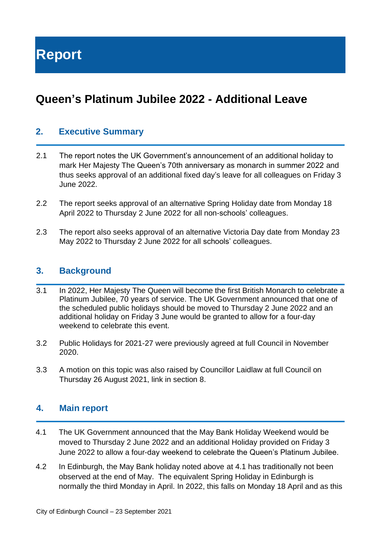# **Queen's Platinum Jubilee 2022 - Additional Leave**

### **2. Executive Summary**

- 2.1 The report notes the UK Government's announcement of an additional holiday to mark Her Majesty The Queen's 70th anniversary as monarch in summer 2022 and thus seeks approval of an additional fixed day's leave for all colleagues on Friday 3 June 2022.
- 2.2 The report seeks approval of an alternative Spring Holiday date from Monday 18 April 2022 to Thursday 2 June 2022 for all non-schools' colleagues.
- 2.3 The report also seeks approval of an alternative Victoria Day date from Monday 23 May 2022 to Thursday 2 June 2022 for all schools' colleagues.

#### **3. Background**

- 3.1 In 2022, Her Majesty The Queen will become the first British Monarch to celebrate a Platinum Jubilee, 70 years of service. The UK Government announced that one of the scheduled public holidays should be moved to Thursday 2 June 2022 and an additional holiday on Friday 3 June would be granted to allow for a four-day weekend to celebrate this event.
- 3.2 Public Holidays for 2021-27 were previously agreed at full Council in November 2020.
- 3.3 A motion on this topic was also raised by Councillor Laidlaw at full Council on Thursday 26 August 2021, link in section 8.

#### **4. Main report**

- 4.1 The UK Government announced that the May Bank Holiday Weekend would be moved to Thursday 2 June 2022 and an additional Holiday provided on Friday 3 June 2022 to allow a four-day weekend to celebrate the Queen's Platinum Jubilee.
- 4.2 In Edinburgh, the May Bank holiday noted above at 4.1 has traditionally not been observed at the end of May. The equivalent Spring Holiday in Edinburgh is normally the third Monday in April. In 2022, this falls on Monday 18 April and as this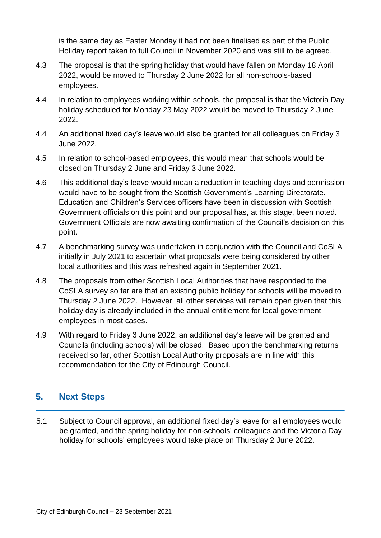is the same day as Easter Monday it had not been finalised as part of the Public Holiday report taken to full Council in November 2020 and was still to be agreed.

- 4.3 The proposal is that the spring holiday that would have fallen on Monday 18 April 2022, would be moved to Thursday 2 June 2022 for all non-schools-based employees.
- 4.4 In relation to employees working within schools, the proposal is that the Victoria Day holiday scheduled for Monday 23 May 2022 would be moved to Thursday 2 June 2022.
- 4.4 An additional fixed day's leave would also be granted for all colleagues on Friday 3 June 2022.
- 4.5 In relation to school-based employees, this would mean that schools would be closed on Thursday 2 June and Friday 3 June 2022.
- 4.6 This additional day's leave would mean a reduction in teaching days and permission would have to be sought from the Scottish Government's Learning Directorate. Education and Children's Services officers have been in discussion with Scottish Government officials on this point and our proposal has, at this stage, been noted. Government Officials are now awaiting confirmation of the Council's decision on this point.
- 4.7 A benchmarking survey was undertaken in conjunction with the Council and CoSLA initially in July 2021 to ascertain what proposals were being considered by other local authorities and this was refreshed again in September 2021.
- 4.8 The proposals from other Scottish Local Authorities that have responded to the CoSLA survey so far are that an existing public holiday for schools will be moved to Thursday 2 June 2022. However, all other services will remain open given that this holiday day is already included in the annual entitlement for local government employees in most cases.
- 4.9 With regard to Friday 3 June 2022, an additional day's leave will be granted and Councils (including schools) will be closed. Based upon the benchmarking returns received so far, other Scottish Local Authority proposals are in line with this recommendation for the City of Edinburgh Council.

# **5. Next Steps**

5.1 Subject to Council approval, an additional fixed day's leave for all employees would be granted, and the spring holiday for non-schools' colleagues and the Victoria Day holiday for schools' employees would take place on Thursday 2 June 2022.